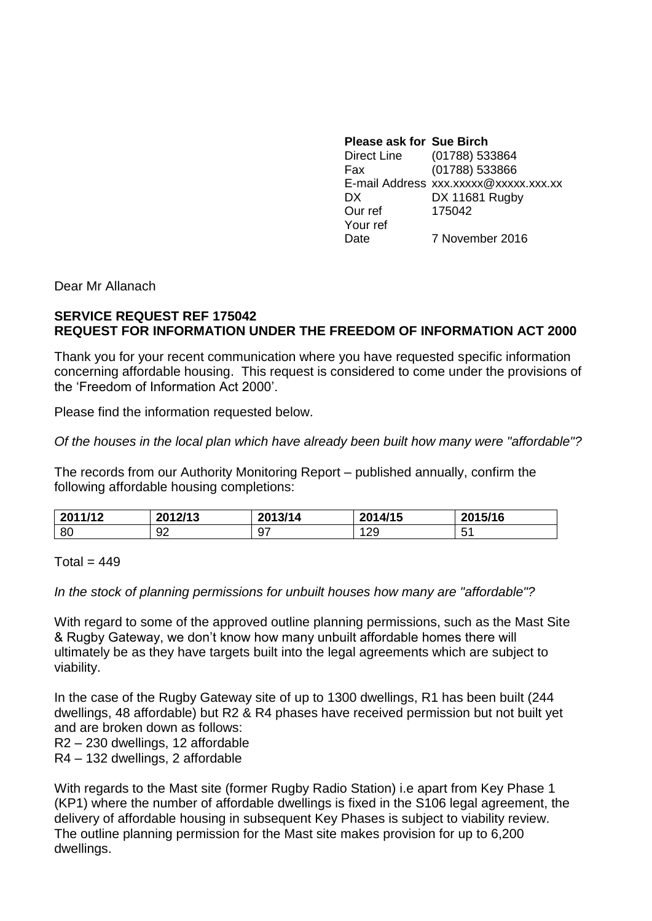| <b>Please ask for Sue Birch</b> |                                       |
|---------------------------------|---------------------------------------|
| Direct Line                     | (01788) 533864                        |
| Fax                             | (01788) 533866                        |
|                                 | E-mail Address xxx.xxxxx@xxxxx.xxx.xx |
| DX.                             | DX 11681 Rugby                        |
| Our ref                         | 175042                                |
| Your ref                        |                                       |
| Date                            | 7 November 2016                       |

Dear Mr Allanach

## **SERVICE REQUEST REF 175042 REQUEST FOR INFORMATION UNDER THE FREEDOM OF INFORMATION ACT 2000**

Thank you for your recent communication where you have requested specific information concerning affordable housing. This request is considered to come under the provisions of the 'Freedom of Information Act 2000'.

Please find the information requested below.

*Of the houses in the local plan which have already been built how many were "affordable"?*

The records from our Authority Monitoring Report – published annually, confirm the following affordable housing completions:

| 2011/12 | 2012/12<br>40 I 47<br>J I V | 2013/14  | 2014/15 | 2015/16  |
|---------|-----------------------------|----------|---------|----------|
| 80      | ∩∩<br>୬∠                    | ~-<br>৬, | 29      | -<br>ັບເ |

## $Total = 449$

*In the stock of planning permissions for unbuilt houses how many are "affordable"?*

With regard to some of the approved outline planning permissions, such as the Mast Site & Rugby Gateway, we don't know how many unbuilt affordable homes there will ultimately be as they have targets built into the legal agreements which are subject to viability.

In the case of the Rugby Gateway site of up to 1300 dwellings, R1 has been built (244 dwellings, 48 affordable) but R2 & R4 phases have received permission but not built yet and are broken down as follows:

R2 – 230 dwellings, 12 affordable

R4 – 132 dwellings, 2 affordable

With regards to the Mast site (former Rugby Radio Station) i.e apart from Key Phase 1 (KP1) where the number of affordable dwellings is fixed in the S106 legal agreement, the delivery of affordable housing in subsequent Key Phases is subject to viability review. The outline planning permission for the Mast site makes provision for up to 6,200 dwellings.